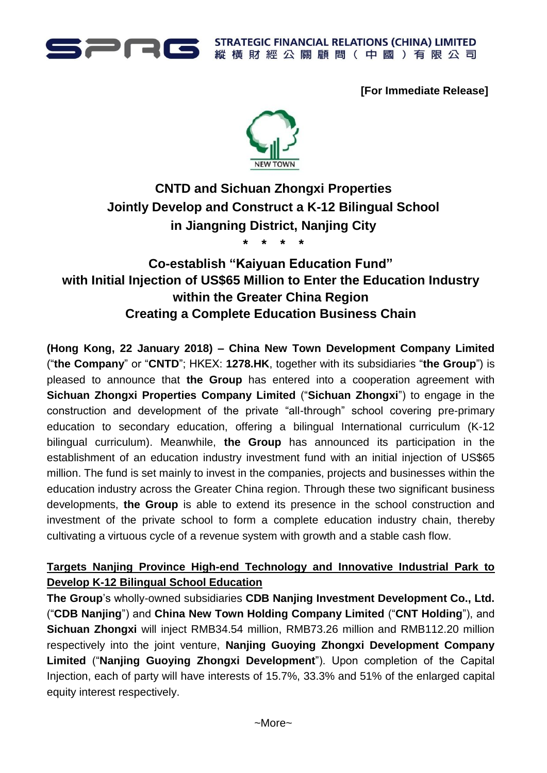

**STRATEGIC FINANCIAL RELATIONS (CHINA) LIMITED** 縱橫財經公關顧問(中國)有限公司

**[For Immediate Release]**



# **CNTD and Sichuan Zhongxi Properties Jointly Develop and Construct a K-12 Bilingual School in Jiangning District, Nanjing City**

**\* \* \* \***

## **Co-establish "Kaiyuan Education Fund" with Initial Injection of US\$65 Million to Enter the Education Industry within the Greater China Region Creating a Complete Education Business Chain**

**(Hong Kong, 22 January 2018) – China New Town Development Company Limited**  ("**the Company**" or "**CNTD**"; HKEX: **1278.HK**, together with its subsidiaries "**the Group**") is pleased to announce that **the Group** has entered into a cooperation agreement with **Sichuan Zhongxi Properties Company Limited** ("**Sichuan Zhongxi**") to engage in the construction and development of the private "all-through" school covering pre-primary education to secondary education, offering a bilingual International curriculum (K-12 bilingual curriculum). Meanwhile, **the Group** has announced its participation in the establishment of an education industry investment fund with an initial injection of US\$65 million. The fund is set mainly to invest in the companies, projects and businesses within the education industry across the Greater China region. Through these two significant business developments, **the Group** is able to extend its presence in the school construction and investment of the private school to form a complete education industry chain, thereby cultivating a virtuous cycle of a revenue system with growth and a stable cash flow.

## **Targets Nanjing Province High-end Technology and Innovative Industrial Park to Develop K-12 Bilingual School Education**

**The Group**'s wholly-owned subsidiaries **CDB Nanjing Investment Development Co., Ltd.** ("**CDB Nanjing**") and **China New Town Holding Company Limited** ("**CNT Holding**"), and **Sichuan Zhongxi** will inject RMB34.54 million, RMB73.26 million and RMB112.20 million respectively into the joint venture, **Nanjing Guoying Zhongxi Development Company Limited** ("**Nanjing Guoying Zhongxi Development**"). Upon completion of the Capital Injection, each of party will have interests of 15.7%, 33.3% and 51% of the enlarged capital equity interest respectively.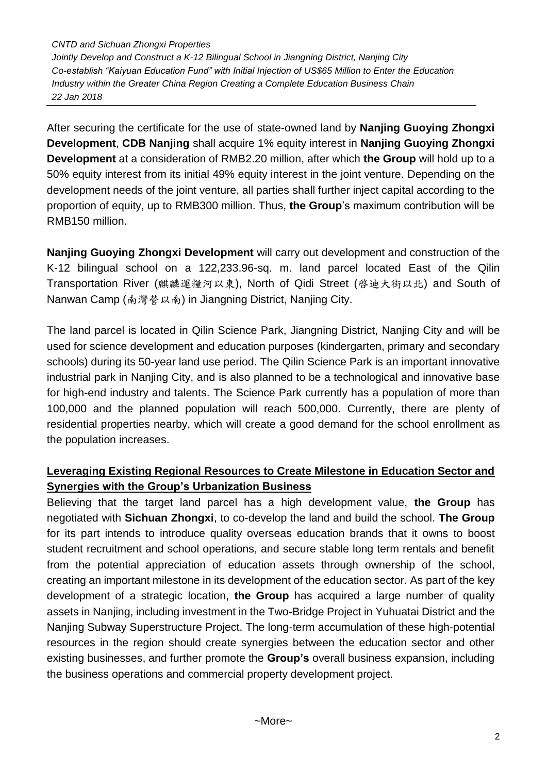*CNTD and Sichuan Zhongxi Properties Jointly Develop and Construct a K-12 Bilingual School in Jiangning District, Nanjing City Co-establish "Kaiyuan Education Fund" with Initial Injection of US\$65 Million to Enter the Education Industry within the Greater China Region Creating a Complete Education Business Chain 22 Jan 2018*

After securing the certificate for the use of state-owned land by **Nanjing Guoying Zhongxi Development**, **CDB Nanjing** shall acquire 1% equity interest in **Nanjing Guoying Zhongxi Development** at a consideration of RMB2.20 million, after which **the Group** will hold up to a 50% equity interest from its initial 49% equity interest in the joint venture. Depending on the development needs of the joint venture, all parties shall further inject capital according to the proportion of equity, up to RMB300 million. Thus, **the Group**'s maximum contribution will be RMB150 million.

**Nanjing Guoying Zhongxi Development** will carry out development and construction of the K-12 bilingual school on a 122,233.96-sq. m. land parcel located East of the Qilin Transportation River (麒麟運糧河以東), North of Qidi Street (啓迪大街以北) and South of Nanwan Camp (南灣營以南) in Jiangning District, Nanjing City.

The land parcel is located in Qilin Science Park, Jiangning District, Nanjing City and will be used for science development and education purposes (kindergarten, primary and secondary schools) during its 50-year land use period. The Qilin Science Park is an important innovative industrial park in Nanjing City, and is also planned to be a technological and innovative base for high-end industry and talents. The Science Park currently has a population of more than 100,000 and the planned population will reach 500,000. Currently, there are plenty of residential properties nearby, which will create a good demand for the school enrollment as the population increases.

## **Leveraging Existing Regional Resources to Create Milestone in Education Sector and Synergies with the Group's Urbanization Business**

Believing that the target land parcel has a high development value, **the Group** has negotiated with **Sichuan Zhongxi**, to co-develop the land and build the school. **The Group** for its part intends to introduce quality overseas education brands that it owns to boost student recruitment and school operations, and secure stable long term rentals and benefit from the potential appreciation of education assets through ownership of the school, creating an important milestone in its development of the education sector. As part of the key development of a strategic location, **the Group** has acquired a large number of quality assets in Nanjing, including investment in the Two-Bridge Project in Yuhuatai District and the Nanjing Subway Superstructure Project. The long-term accumulation of these high-potential resources in the region should create synergies between the education sector and other existing businesses, and further promote the **Group's** overall business expansion, including the business operations and commercial property development project.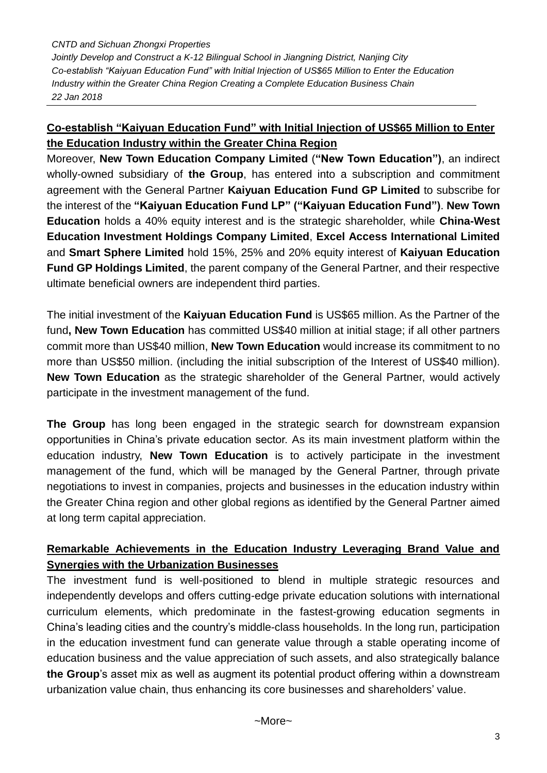*CNTD and Sichuan Zhongxi Properties Jointly Develop and Construct a K-12 Bilingual School in Jiangning District, Nanjing City Co-establish "Kaiyuan Education Fund" with Initial Injection of US\$65 Million to Enter the Education Industry within the Greater China Region Creating a Complete Education Business Chain 22 Jan 2018*

## **Co-establish "Kaiyuan Education Fund" with Initial Injection of US\$65 Million to Enter the Education Industry within the Greater China Region**

Moreover, **New Town Education Company Limited** (**"New Town Education")**, an indirect wholly-owned subsidiary of **the Group**, has entered into a subscription and commitment agreement with the General Partner **Kaiyuan Education Fund GP Limited** to subscribe for the interest of the **"Kaiyuan Education Fund LP" ("Kaiyuan Education Fund")**. **New Town Education** holds a 40% equity interest and is the strategic shareholder, while **China-West Education Investment Holdings Company Limited**, **Excel Access International Limited**  and **Smart Sphere Limited** hold 15%, 25% and 20% equity interest of **Kaiyuan Education Fund GP Holdings Limited**, the parent company of the General Partner, and their respective ultimate beneficial owners are independent third parties.

The initial investment of the **Kaiyuan Education Fund** is US\$65 million. As the Partner of the fund**, New Town Education** has committed US\$40 million at initial stage; if all other partners commit more than US\$40 million, **New Town Education** would increase its commitment to no more than US\$50 million. (including the initial subscription of the Interest of US\$40 million). **New Town Education** as the strategic shareholder of the General Partner, would actively participate in the investment management of the fund.

**The Group** has long been engaged in the strategic search for downstream expansion opportunities in China's private education sector. As its main investment platform within the education industry, **New Town Education** is to actively participate in the investment management of the fund, which will be managed by the General Partner, through private negotiations to invest in companies, projects and businesses in the education industry within the Greater China region and other global regions as identified by the General Partner aimed at long term capital appreciation.

### **Remarkable Achievements in the Education Industry Leveraging Brand Value and Synergies with the Urbanization Businesses**

The investment fund is well-positioned to blend in multiple strategic resources and independently develops and offers cutting-edge private education solutions with international curriculum elements, which predominate in the fastest-growing education segments in China's leading cities and the country's middle-class households. In the long run, participation in the education investment fund can generate value through a stable operating income of education business and the value appreciation of such assets, and also strategically balance **the Group**'s asset mix as well as augment its potential product offering within a downstream urbanization value chain, thus enhancing its core businesses and shareholders' value.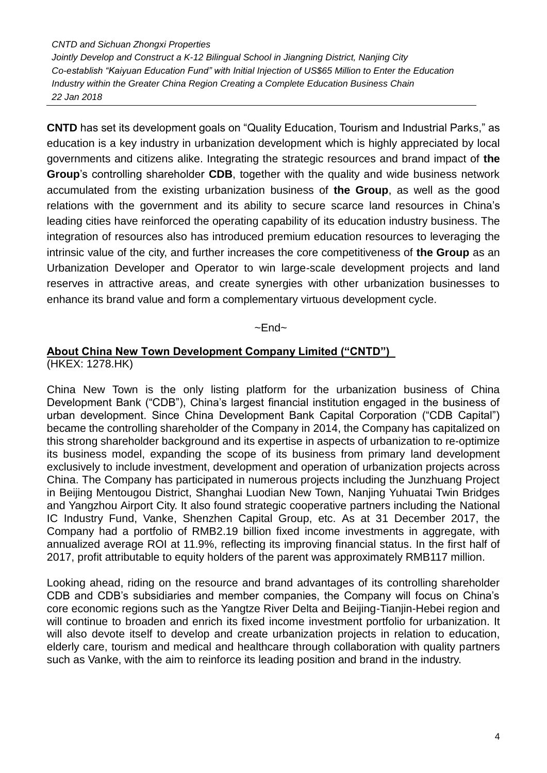*CNTD and Sichuan Zhongxi Properties*

*Jointly Develop and Construct a K-12 Bilingual School in Jiangning District, Nanjing City Co-establish "Kaiyuan Education Fund" with Initial Injection of US\$65 Million to Enter the Education Industry within the Greater China Region Creating a Complete Education Business Chain 22 Jan 2018*

**CNTD** has set its development goals on "Quality Education, Tourism and Industrial Parks," as education is a key industry in urbanization development which is highly appreciated by local governments and citizens alike. Integrating the strategic resources and brand impact of **the Group**'s controlling shareholder **CDB**, together with the quality and wide business network accumulated from the existing urbanization business of **the Group**, as well as the good relations with the government and its ability to secure scarce land resources in China's leading cities have reinforced the operating capability of its education industry business. The integration of resources also has introduced premium education resources to leveraging the intrinsic value of the city, and further increases the core competitiveness of **the Group** as an Urbanization Developer and Operator to win large-scale development projects and land reserves in attractive areas, and create synergies with other urbanization businesses to enhance its brand value and form a complementary virtuous development cycle.

#### $~\sim$ End $~\sim$

#### **About China New Town Development Company Limited ("CNTD")**  (HKEX: 1278.HK)

China New Town is the only listing platform for the urbanization business of China Development Bank ("CDB"), China's largest financial institution engaged in the business of urban development. Since China Development Bank Capital Corporation ("CDB Capital") became the controlling shareholder of the Company in 2014, the Company has capitalized on this strong shareholder background and its expertise in aspects of urbanization to re-optimize its business model, expanding the scope of its business from primary land development exclusively to include investment, development and operation of urbanization projects across China. The Company has participated in numerous projects including the Junzhuang Project in Beijing Mentougou District, Shanghai Luodian New Town, Nanjing Yuhuatai Twin Bridges and Yangzhou Airport City. It also found strategic cooperative partners including the National IC Industry Fund, Vanke, Shenzhen Capital Group, etc. As at 31 December 2017, the Company had a portfolio of RMB2.19 billion fixed income investments in aggregate, with annualized average ROI at 11.9%, reflecting its improving financial status. In the first half of 2017, profit attributable to equity holders of the parent was approximately RMB117 million.

Looking ahead, riding on the resource and brand advantages of its controlling shareholder CDB and CDB's subsidiaries and member companies, the Company will focus on China's core economic regions such as the Yangtze River Delta and Beijing-Tianjin-Hebei region and will continue to broaden and enrich its fixed income investment portfolio for urbanization. It will also devote itself to develop and create urbanization projects in relation to education, elderly care, tourism and medical and healthcare through collaboration with quality partners such as Vanke, with the aim to reinforce its leading position and brand in the industry.